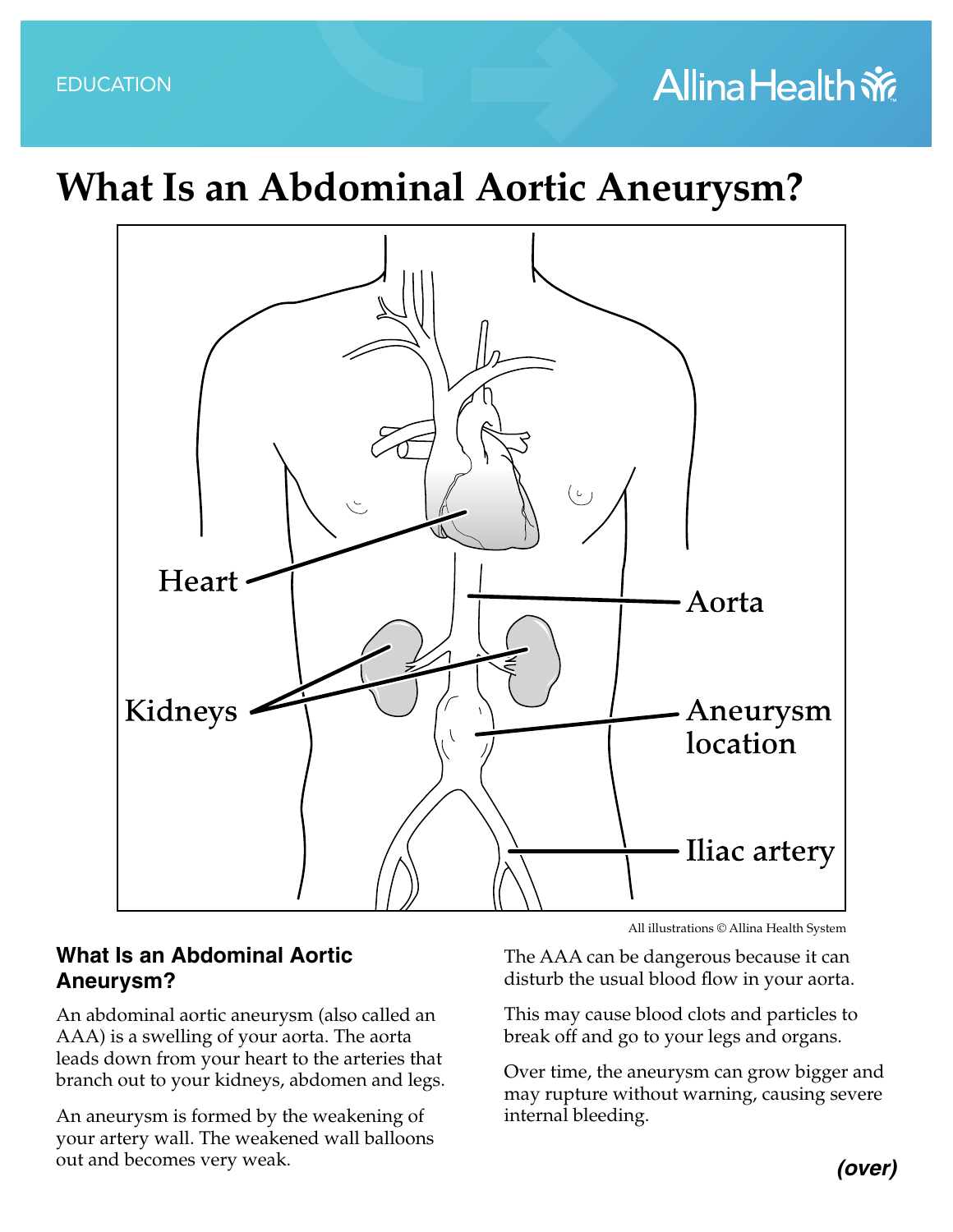## **Allina Health 帝**

## **What Is an Abdominal Aortic Aneurysm?**



## **What Is an Abdominal Aortic Aneurysm?**

An abdominal aortic aneurysm (also called an AAA) is a swelling of your aorta. The aorta leads down from your heart to the arteries that branch out to your kidneys, abdomen and legs.

An aneurysm is formed by the weakening of your artery wall. The weakened wall balloons out and becomes very weak.

All illustrations © Allina Health System

The AAA can be dangerous because it can disturb the usual blood flow in your aorta.

This may cause blood clots and particles to break off and go to your legs and organs.

Over time, the aneurysm can grow bigger and may rupture without warning, causing severe internal bleeding.